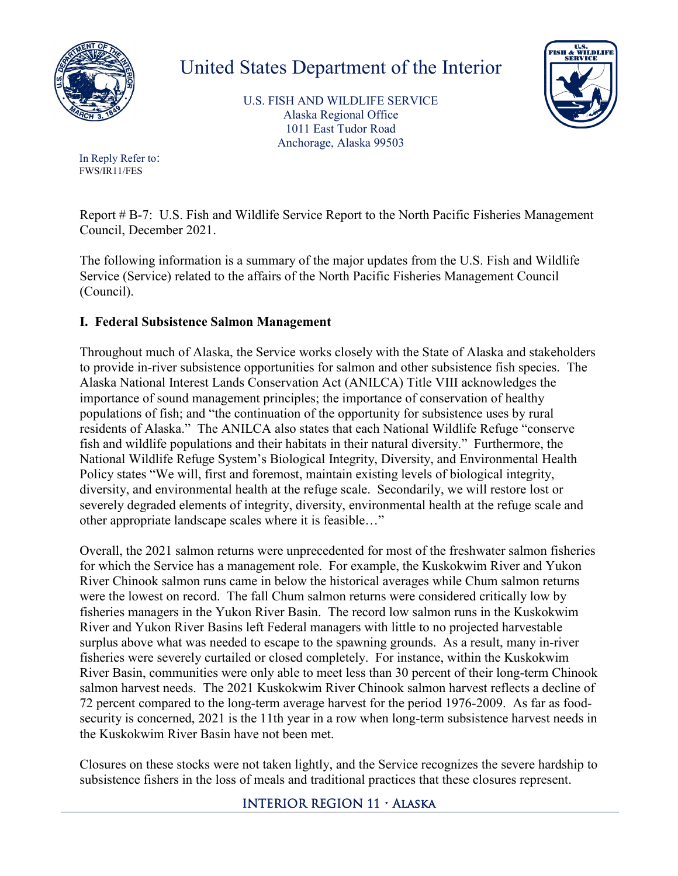

## United States Department of the Interior

U.S. FISH AND WILDLIFE SERVICE Alaska Regional Office 1011 East Tudor Road Anchorage, Alaska 99503



In Reply Refer to: FWS/IR11/FES

Report # B-7: U.S. Fish and Wildlife Service Report to the North Pacific Fisheries Management Council, December 2021.

The following information is a summary of the major updates from the U.S. Fish and Wildlife Service (Service) related to the affairs of the North Pacific Fisheries Management Council (Council).

## **I. Federal Subsistence Salmon Management**

Throughout much of Alaska, the Service works closely with the State of Alaska and stakeholders to provide in-river subsistence opportunities for salmon and other subsistence fish species. The Alaska National Interest Lands Conservation Act (ANILCA) Title VIII acknowledges the importance of sound management principles; the importance of conservation of healthy populations of fish; and "the continuation of the opportunity for subsistence uses by rural residents of Alaska." The ANILCA also states that each National Wildlife Refuge "conserve fish and wildlife populations and their habitats in their natural diversity." Furthermore, the National Wildlife Refuge System's Biological Integrity, Diversity, and Environmental Health Policy states "We will, first and foremost, maintain existing levels of biological integrity, diversity, and environmental health at the refuge scale. Secondarily, we will restore lost or severely degraded elements of integrity, diversity, environmental health at the refuge scale and other appropriate landscape scales where it is feasible…"

Overall, the 2021 salmon returns were unprecedented for most of the freshwater salmon fisheries for which the Service has a management role. For example, the Kuskokwim River and Yukon River Chinook salmon runs came in below the historical averages while Chum salmon returns were the lowest on record. The fall Chum salmon returns were considered critically low by fisheries managers in the Yukon River Basin. The record low salmon runs in the Kuskokwim River and Yukon River Basins left Federal managers with little to no projected harvestable surplus above what was needed to escape to the spawning grounds. As a result, many in-river fisheries were severely curtailed or closed completely. For instance, within the Kuskokwim River Basin, communities were only able to meet less than 30 percent of their long-term Chinook salmon harvest needs. The 2021 Kuskokwim River Chinook salmon harvest reflects a decline of 72 percent compared to the long-term average harvest for the period 1976-2009. As far as foodsecurity is concerned, 2021 is the 11th year in a row when long-term subsistence harvest needs in the Kuskokwim River Basin have not been met.

Closures on these stocks were not taken lightly, and the Service recognizes the severe hardship to subsistence fishers in the loss of meals and traditional practices that these closures represent.